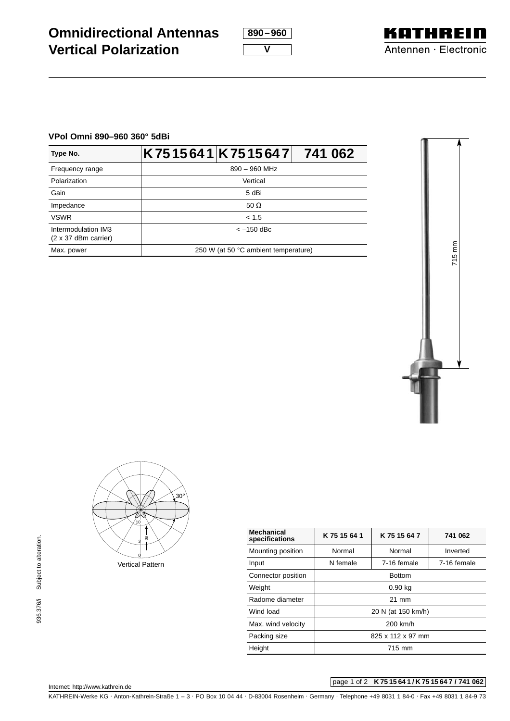**890–960**

**KATHREIN** Antennen · Electronic

## **VPol Omni 890–960 360° 5dBi**

| Type No.                                           |                 | K7515641 K7515647                    | 741 062 |  |
|----------------------------------------------------|-----------------|--------------------------------------|---------|--|
| Frequency range                                    | $890 - 960$ MHz |                                      |         |  |
| Polarization                                       | Vertical        |                                      |         |  |
| Gain                                               |                 | 5 dBi                                |         |  |
| Impedance                                          |                 | 50 $\Omega$                          |         |  |
| <b>VSWR</b>                                        |                 | < 1.5                                |         |  |
| Intermodulation IM3<br>$(2 \times 37$ dBm carrier) |                 | $<-150$ dBc                          |         |  |
| Max. power                                         |                 | 250 W (at 50 °C ambient temperature) |         |  |





| <b>Mechanical</b><br>specifications | K 75 15 64 1<br>K 75 15 64 7 |  | 741 062     |  |
|-------------------------------------|------------------------------|--|-------------|--|
| Mounting position                   | Normal<br>Normal             |  | Inverted    |  |
| Input                               | 7-16 female<br>N female      |  | 7-16 female |  |
| Connector position                  | <b>Bottom</b>                |  |             |  |
| Weight                              | $0.90$ kg                    |  |             |  |
| Radome diameter                     | $21 \text{ mm}$              |  |             |  |
| Wind load                           | 20 N (at 150 km/h)           |  |             |  |
| Max. wind velocity                  | 200 km/h                     |  |             |  |
| Packing size                        | 825 x 112 x 97 mm            |  |             |  |
| Height                              | 715 mm                       |  |             |  |

Internet: http://www.kathrein.de

# page 1 of 2 **K 75 15 64 1 / K 75 15 64 7 / 741 062**

KATHREIN-Werke KG . Anton-Kathrein-Straße 1 – 3 . PO Box 10 04 44 . D-83004 Rosenheim . Germany . Telephone +49 8031 1 84-0 . Fax +49 8031 1 84-9 73



**V**